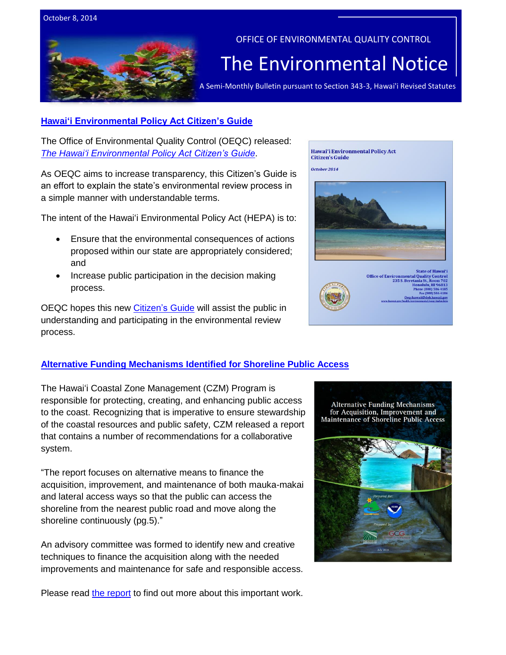

OFFICE OF ENVIRONMENTAL QUALITY CONTROL

## The Environmental Notice

A Semi-Monthly Bulletin pursuant to Section 343-3, Hawai'i Revised Statutes

## **[Hawai'i Environmental Policy Act Citizen's Guide](http://oeqc.doh.hawaii.gov/Shared%20Documents/Preparation_of_Hawaii_Environmental_Policy_Act_Documents/2014%20HEPA%20Citizen%27s%20Guide.pdf)**

The Office of Environmental Quality Control (OEQC) released: *[The Hawai'i Environmental Policy Act Citizen's Guide](http://oeqc.doh.hawaii.gov/Shared%20Documents/Preparation_of_Hawaii_Environmental_Policy_Act_Documents/2014%20HEPA%20Citizen%27s%20Guide.pdf)*.

As OEQC aims to increase transparency, this Citizen's Guide is an effort to explain the state's environmental review process in a simple manner with understandable terms.

The intent of the Hawai'i Environmental Policy Act (HEPA) is to:

- Ensure that the environmental consequences of actions proposed within our state are appropriately considered; and
- Increase public participation in the decision making process.

OEQC hopes this new [Citizen's](http://oeqc.doh.hawaii.gov/Shared%20Documents/Preparation_of_Hawaii_Environmental_Policy_Act_Documents/2014%20HEPA%20Citizen%27s%20Guide.pdf) Guide will assist the public in understanding and participating in the environmental review process.



The Hawai'i Coastal Zone Management (CZM) Program is responsible for protecting, creating, and enhancing public access to the coast. Recognizing that is imperative to ensure stewardship of the coastal resources and public safety, CZM released a report that contains a number of recommendations for a collaborative system.

"The report focuses on alternative means to finance the acquisition, improvement, and maintenance of both mauka-makai and lateral access ways so that the public can access the shoreline from the nearest public road and move along the shoreline continuously (pg.5)."

An advisory committee was formed to identify new and creative techniques to finance the acquisition along with the needed improvements and maintenance for safe and responsible access.



Please read [the report](http://files.hawaii.gov/dbedt/op/czm/initiative/Public_Access/2014_AlternativeFundingMechanismsForShorelinePublicAccess_FinalReport.pdf) to find out more about this important work.

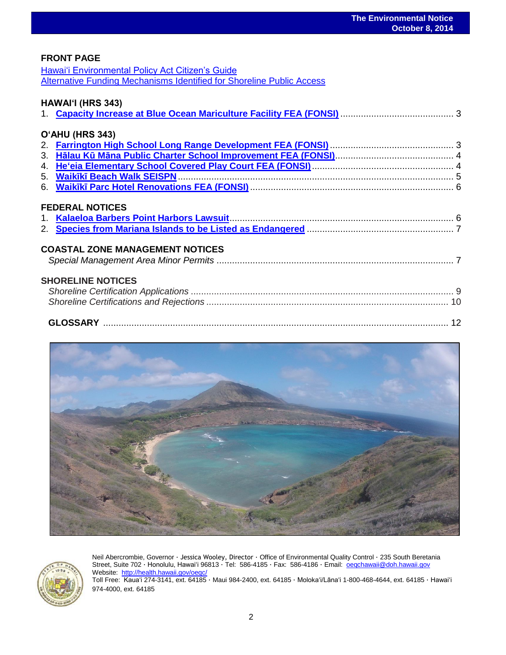## **FRONT PAGE**

[Hawai'i Environmental Policy Act Citizen's Guide](http://oeqc.doh.hawaii.gov/Shared%20Documents/Preparation_of_Hawaii_Environmental_Policy_Act_Documents/2014%20HEPA%20Citizen%27s%20Guide.pdf) [Alternative Funding Mechanisms Identified for Shoreline Public Access](http://files.hawaii.gov/dbedt/op/czm/initiative/Public_Access/2014_AlternativeFundingMechanismsForShorelinePublicAccess_FinalReport.pdf)

## **HAWAI'I (HRS 343)**

| O'AHU (HRS 343)                        |  |
|----------------------------------------|--|
|                                        |  |
|                                        |  |
|                                        |  |
|                                        |  |
|                                        |  |
| <b>FEDERAL NOTICES</b>                 |  |
| <b>COASTAL ZONE MANAGEMENT NOTICES</b> |  |
| <b>SHORELINE NOTICES</b>               |  |
|                                        |  |





Neil Abercrombie, Governor · Jessica Wooley, Director · Office of Environmental Quality Control · 235 South Beretania Street, Suite 702 · Honolulu, Hawaiʻi 96813 · Tel: 586-4185 · Fax: 586-4186 · Email: <u>oeqchawaii@doh.hawaii.gov</u> Website:<http://health.hawaii.gov/oeqc/>

Toll Free: Kauaʻi 274-3141, ext. 64185 · Maui 984-2400, ext. 64185 · Molokaʻi/Lānaʻi 1-800-468-4644, ext. 64185 · Hawaiʻi 974-4000, ext. 64185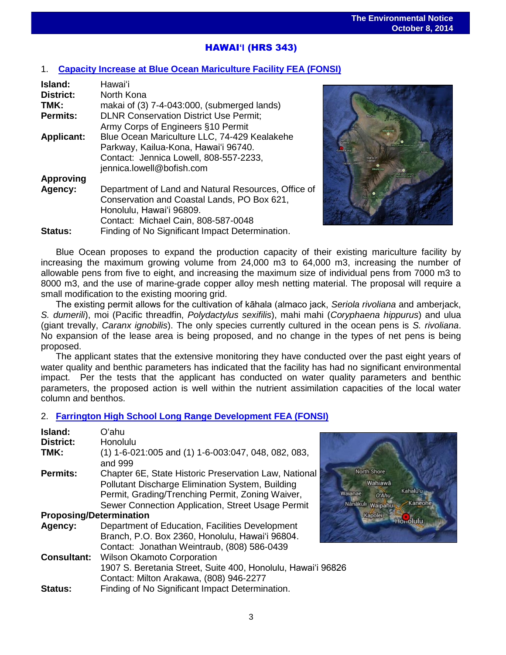# HAWAI**'I** (HRS 343)

## 1. **[Capacity Increase at Blue Ocean Mariculture Facility FEA \(FONSI\)](http://oeqc.doh.hawaii.gov/Shared%20Documents/EA_and_EIS_Online_Library/Hawaii/2010s/2014-10-08-HA-5E-FEA-Capacity-Increase-at-Blue-Ocean-Mariculture-Facility.pdf)**

| Island:           | Hawai'i                                             |
|-------------------|-----------------------------------------------------|
| <b>District:</b>  | North Kona                                          |
| TMK:              | makai of $(3)$ 7-4-043:000, (submerged lands)       |
| <b>Permits:</b>   | <b>DLNR Conservation District Use Permit;</b>       |
|                   | Army Corps of Engineers §10 Permit                  |
| <b>Applicant:</b> | Blue Ocean Mariculture LLC, 74-429 Kealakehe        |
|                   | Parkway, Kailua-Kona, Hawai'i 96740.                |
|                   | Contact: Jennica Lowell, 808-557-2233,              |
|                   | jennica.lowell@bofish.com                           |
| <b>Approving</b>  |                                                     |
| Agency:           | Department of Land and Natural Resources, Office of |
|                   | Conservation and Coastal Lands, PO Box 621,         |
|                   | Honolulu, Hawai'i 96809.                            |
|                   | Contact: Michael Cain, 808-587-0048                 |
| <b>Status:</b>    | Finding of No Significant Impact Determination.     |



North Shore Wahiawā

Nanākuli Waipahu Kapolei

O'Ahu

aianae

Kahalu'u

Honolulu

Blue Ocean proposes to expand the production capacity of their existing mariculture facility by increasing the maximum growing volume from 24,000 m3 to 64,000 m3, increasing the number of allowable pens from five to eight, and increasing the maximum size of individual pens from 7000 m3 to 8000 m3, and the use of marine-grade copper alloy mesh netting material. The proposal will require a small modification to the existing mooring grid.

The existing permit allows for the cultivation of kāhala (almaco jack, *Seriola rivoliana* and amberjack, *S. dumerili*), moi (Pacific threadfin, *Polydactylus sexifilis*), mahi mahi (*Coryphaena hippurus*) and ulua (giant trevally, *Caranx ignobilis*). The only species currently cultured in the ocean pens is *S. rivoliana*. No expansion of the lease area is being proposed, and no change in the types of net pens is being proposed.

The applicant states that the extensive monitoring they have conducted over the past eight years of water quality and benthic parameters has indicated that the facility has had no significant environmental impact. Per the tests that the applicant has conducted on water quality parameters and benthic parameters, the proposed action is well within the nutrient assimilation capacities of the local water column and benthos.

## 2. **[Farrington High School Long Range Development FEA \(FONSI\)](http://oeqc.doh.hawaii.gov/Shared%20Documents/EA_and_EIS_Online_Library/Oahu/2010s/2014-10-08-OA-5B-FEA-Farrington-HS-Long-Range-Development.pdf)**

| <b>District:</b><br>Honolulu<br>(1) 1-6-021:005 and (1) 1-6-003:047, 048, 082, 083,<br>TMK:<br>and 999<br>Chapter 6E, State Historic Preservation Law, National<br><b>Permits:</b><br>Pollutant Discharge Elimination System, Building<br>Permit, Grading/Trenching Permit, Zoning Waiver,<br>Sewer Connection Application, Street Usage Permit<br><b>Proposing/Determination</b><br>Department of Education, Facilities Development<br>Agency:<br>Branch, P.O. Box 2360, Honolulu, Hawai'i 96804.<br>Contact: Jonathan Weintraub, (808) 586-0439<br><b>Consultant:</b><br><b>Wilson Okamoto Corporation</b><br>1907 S. Beretania Street, Suite 400, Honolulu, Hawai'i 96826<br>Contact: Milton Arakawa, (808) 946-2277<br>Finding of No Significant Impact Determination.<br><b>Status:</b> | Island: | Oʻahu |    |
|----------------------------------------------------------------------------------------------------------------------------------------------------------------------------------------------------------------------------------------------------------------------------------------------------------------------------------------------------------------------------------------------------------------------------------------------------------------------------------------------------------------------------------------------------------------------------------------------------------------------------------------------------------------------------------------------------------------------------------------------------------------------------------------------|---------|-------|----|
|                                                                                                                                                                                                                                                                                                                                                                                                                                                                                                                                                                                                                                                                                                                                                                                              |         |       |    |
|                                                                                                                                                                                                                                                                                                                                                                                                                                                                                                                                                                                                                                                                                                                                                                                              |         |       |    |
|                                                                                                                                                                                                                                                                                                                                                                                                                                                                                                                                                                                                                                                                                                                                                                                              |         |       | W. |
|                                                                                                                                                                                                                                                                                                                                                                                                                                                                                                                                                                                                                                                                                                                                                                                              |         |       |    |
|                                                                                                                                                                                                                                                                                                                                                                                                                                                                                                                                                                                                                                                                                                                                                                                              |         |       |    |
|                                                                                                                                                                                                                                                                                                                                                                                                                                                                                                                                                                                                                                                                                                                                                                                              |         |       |    |
|                                                                                                                                                                                                                                                                                                                                                                                                                                                                                                                                                                                                                                                                                                                                                                                              |         |       |    |

3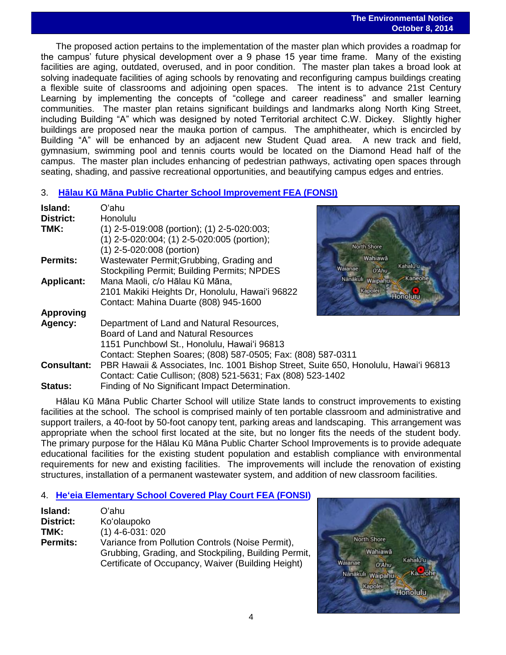### **The Environmental Notice October 8, 2014**

 The proposed action pertains to the implementation of the master plan which provides a roadmap for the campus' future physical development over a 9 phase 15 year time frame. Many of the existing facilities are aging, outdated, overused, and in poor condition. The master plan takes a broad look at solving inadequate facilities of aging schools by renovating and reconfiguring campus buildings creating a flexible suite of classrooms and adjoining open spaces. The intent is to advance 21st Century Learning by implementing the concepts of "college and career readiness" and smaller learning communities. The master plan retains significant buildings and landmarks along North King Street, including Building "A" which was designed by noted Territorial architect C.W. Dickey. Slightly higher buildings are proposed near the mauka portion of campus. The amphitheater, which is encircled by Building "A" will be enhanced by an adjacent new Student Quad area. A new track and field, gymnasium, swimming pool and tennis courts would be located on the Diamond Head half of the campus. The master plan includes enhancing of pedestrian pathways, activating open spaces through seating, shading, and passive recreational opportunities, and beautifying campus edges and entries.

## 3. **Hālau Kū [Māna Public Charter School Improvement FEA \(FONSI\)](http://oeqc.doh.hawaii.gov/Shared%20Documents/EA_and_EIS_Online_Library/Oahu/2010s/2014-10-08-OA-5E-FEA-Halau-Ku-Mana-Public-Charter-School-Improvements.pdf)**

| Island:            | Oʻahu                                                                                |                              |
|--------------------|--------------------------------------------------------------------------------------|------------------------------|
| <b>District:</b>   | Honolulu                                                                             |                              |
| TMK:               | $(1)$ 2-5-019:008 (portion); (1) 2-5-020:003;                                        |                              |
|                    | (1) 2-5-020:004; (1) 2-5-020:005 (portion);                                          |                              |
|                    | (1) 2-5-020:008 (portion)                                                            | North Shore                  |
| <b>Permits:</b>    | Wastewater Permit; Grubbing, Grading and                                             | Wahiawā                      |
|                    | <b>Stockpiling Permit; Building Permits; NPDES</b>                                   | Kahalu'u<br>Walanae<br>O'Ahu |
| <b>Applicant:</b>  | Mana Maoli, c/o Hālau Kū Māna,                                                       | Kaneohe<br>Nanakuli Waipahu  |
|                    | 2101 Makiki Heights Dr, Honolulu, Hawai'i 96822                                      | Kapolei<br>Honolulu          |
|                    | Contact: Mahina Duarte (808) 945-1600                                                |                              |
| <b>Approving</b>   |                                                                                      |                              |
| Agency:            | Department of Land and Natural Resources,                                            |                              |
|                    | Board of Land and Natural Resources                                                  |                              |
|                    | 1151 Punchbowl St., Honolulu, Hawai'i 96813                                          |                              |
|                    | Contact: Stephen Soares; (808) 587-0505; Fax: (808) 587-0311                         |                              |
| <b>Consultant:</b> | PBR Hawaii & Associates, Inc. 1001 Bishop Street, Suite 650, Honolulu, Hawai'i 96813 |                              |
|                    | Contact: Catie Cullison; (808) 521-5631; Fax (808) 523-1402                          |                              |
| <b>Status:</b>     | Finding of No Significant Impact Determination.                                      |                              |

Hālau Kū Māna Public Charter School will utilize State lands to construct improvements to existing facilities at the school. The school is comprised mainly of ten portable classroom and administrative and support trailers, a 40-foot by 50-foot canopy tent, parking areas and landscaping. This arrangement was appropriate when the school first located at the site, but no longer fits the needs of the student body. The primary purpose for the Hālau Kū Māna Public Charter School Improvements is to provide adequate educational facilities for the existing student population and establish compliance with environmental requirements for new and existing facilities. The improvements will include the renovation of existing structures, installation of a permanent wastewater system, and addition of new classroom facilities.

## 4. **He'eia [Elementary School Covered](http://oeqc.doh.hawaii.gov/Shared%20Documents/EA_and_EIS_Online_Library/Oahu/2010s/2014-10-08-OA-5B-FEA-Heeia-Elementary-School-Covered-Play-Court.pdf) Play Court FEA (FONSI)**

| Island:         | Oʻahu                                                |
|-----------------|------------------------------------------------------|
| District:       | Ko'olaupoko                                          |
| TMK:            | $(1)$ 4-6-031: 020                                   |
| <b>Permits:</b> | Variance from Pollution Controls (Noise Permit),     |
|                 | Grubbing, Grading, and Stockpiling, Building Permit, |
|                 | Certificate of Occupancy, Waiver (Building Height)   |

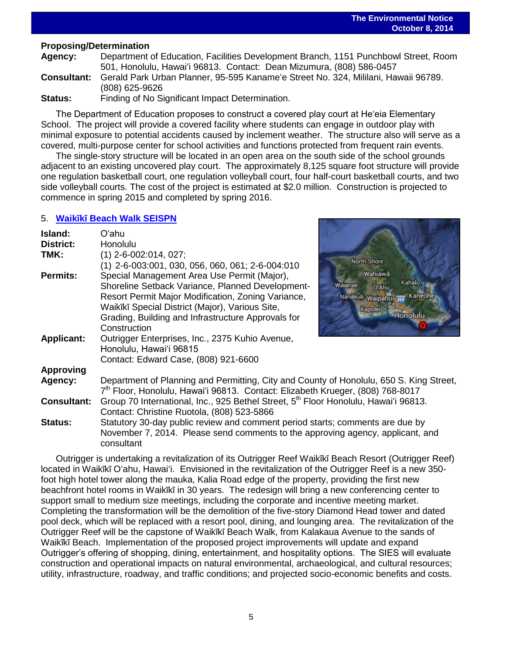### **The Environmental Notice October 8, 2014**

## **Proposing/Determination**

**Agency:** Department of Education, Facilities Development Branch, 1151 Punchbowl Street, Room 501, Honolulu, Hawai'i 96813. Contact: Dean Mizumura, (808) 586-0457 **Consultant:** Gerald Park Urban Planner, 95-595 Kaname'e Street No. 324, Mililani, Hawaii 96789. (808) 625-9626 **Status:** Finding of No Significant Impact Determination.

The Department of Education proposes to construct a covered play court at He'eia Elementary School. The project will provide a covered facility where students can engage in outdoor play with minimal exposure to potential accidents caused by inclement weather. The structure also will serve as a covered, multi-purpose center for school activities and functions protected from frequent rain events.

The single-story structure will be located in an open area on the south side of the school grounds adjacent to an existing uncovered play court. The approximately 8,125 square foot structure will provide one regulation basketball court, one regulation volleyball court, four half-court basketball courts, and two side volleyball courts. The cost of the project is estimated at \$2.0 million. Construction is projected to commence in spring 2015 and completed by spring 2016.

## 5. **Waikῑkῑ [Beach Walk SEISPN](http://oeqc.doh.hawaii.gov/Shared%20Documents/EA_and_EIS_Online_Library/Oahu/2010s/2014-10-08-OA-5E-SEISPN-Waikiki-Beach-Walk.pdf)**

| Island:<br><b>District:</b> | Oʻahu<br>Honolulu                                                                                                                                                                                                                                                              |                                                                                                       |  |  |
|-----------------------------|--------------------------------------------------------------------------------------------------------------------------------------------------------------------------------------------------------------------------------------------------------------------------------|-------------------------------------------------------------------------------------------------------|--|--|
| TMK:                        | $(1)$ 2-6-002:014, 027;<br>$(1)$ 2-6-003:001, 030, 056, 060, 061; 2-6-004:010                                                                                                                                                                                                  | <b>North Shore</b>                                                                                    |  |  |
| <b>Permits:</b>             | Special Management Area Use Permit (Major),<br>Shoreline Setback Variance, Planned Development-<br>Resort Permit Major Modification, Zoning Variance,<br>Waikīkī Special District (Major), Various Site,<br>Grading, Building and Infrastructure Approvals for<br>Construction | Wahiawa<br>Kahalu'u<br>Walanae<br>O'Ahu<br>Nanákuli Waipahu<br>'Kaneohe<br>Kapolei<br><b>Honolulu</b> |  |  |
| <b>Applicant:</b>           | Outrigger Enterprises, Inc., 2375 Kuhio Avenue,<br>Honolulu, Hawai'i 96815<br>Contact: Edward Case, (808) 921-6600                                                                                                                                                             |                                                                                                       |  |  |
| <b>Approving</b>            |                                                                                                                                                                                                                                                                                |                                                                                                       |  |  |
| Agency:                     | Department of Planning and Permitting, City and County of Honolulu, 650 S. King Street,<br>7 <sup>th</sup> Floor, Honolulu, Hawai'i 96813. Contact: Elizabeth Krueger, (808) 768-8017                                                                                          |                                                                                                       |  |  |
| <b>Consultant:</b>          | Group 70 International, Inc., 925 Bethel Street, 5 <sup>th</sup> Floor Honolulu, Hawai'i 96813.<br>Contact: Christine Ruotola, (808) 523-5866                                                                                                                                  |                                                                                                       |  |  |
| Status:                     | Statutory 30-day public review and comment period starts; comments are due by<br>November 7, 2014. Please send comments to the approving agency, applicant, and<br>consultant                                                                                                  |                                                                                                       |  |  |

Outrigger is undertaking a revitalization of its Outrigger Reef Waikīkī Beach Resort (Outrigger Reef) located in Waikīkī O'ahu, Hawai'i. Envisioned in the revitalization of the Outrigger Reef is a new 350foot high hotel tower along the mauka, Kalia Road edge of the property, providing the first new beachfront hotel rooms in Waikīkī in 30 years. The redesign will bring a new conferencing center to support small to medium size meetings, including the corporate and incentive meeting market. Completing the transformation will be the demolition of the five-story Diamond Head tower and dated pool deck, which will be replaced with a resort pool, dining, and lounging area. The revitalization of the Outrigger Reef will be the capstone of Waikīkī Beach Walk, from Kalakaua Avenue to the sands of Waikīkī Beach. Implementation of the proposed project improvements will update and expand Outrigger's offering of shopping, dining, entertainment, and hospitality options. The SIES will evaluate construction and operational impacts on natural environmental, archaeological, and cultural resources; utility, infrastructure, roadway, and traffic conditions; and projected socio-economic benefits and costs.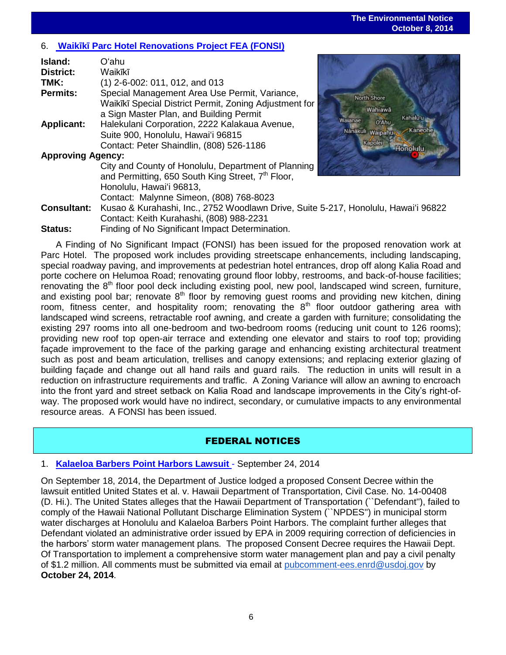### **The Environmental Notice October 8, 2014**

## 6. **Waikῑkῑ [Parc Hotel Renovations Project FEA \(FONSI\)](http://oeqc.doh.hawaii.gov/Shared%20Documents/EA_and_EIS_Online_Library/Oahu/2010s/2014-10-08-OA-5E-FEA-Waikiki_Parc-Hotel-Renovation-Project.pdf)**

| Island:<br><b>District:</b> | Oʻahu<br>Waikīkī                                                                                                                                                                            |                                                                               |
|-----------------------------|---------------------------------------------------------------------------------------------------------------------------------------------------------------------------------------------|-------------------------------------------------------------------------------|
| TMK:                        | $(1)$ 2-6-002: 011, 012, and 013                                                                                                                                                            |                                                                               |
| <b>Permits:</b>             | Special Management Area Use Permit, Variance,<br>Waikīkī Special District Permit, Zoning Adjustment for<br>a Sign Master Plan, and Building Permit                                          | North Shore<br>Wahiawā<br>Kahalu'u                                            |
| <b>Applicant:</b>           | Halekulani Corporation, 2222 Kalakaua Avenue,<br>Suite 900, Honolulu, Hawai'i 96815<br>Contact: Peter Shaindlin, (808) 526-1186                                                             | Walanae<br>O'Ahu<br>Kaneohe<br>Nanakuli Waipahu<br>Kapolei<br><b>Honolulu</b> |
| <b>Approving Agency:</b>    |                                                                                                                                                                                             |                                                                               |
|                             | City and County of Honolulu, Department of Planning<br>and Permitting, 650 South King Street, 7 <sup>th</sup> Floor,<br>Honolulu, Hawai'i 96813,<br>Contact: Malynne Simeon, (808) 768-8023 |                                                                               |
| <b>Consultant:</b>          | Kusao & Kurahashi, Inc., 2752 Woodlawn Drive, Suite 5-217, Honolulu, Hawai'i 96822<br>Contact: Keith Kurahashi, (808) 988-2231                                                              |                                                                               |
|                             |                                                                                                                                                                                             |                                                                               |



**Status:** Finding of No Significant Impact Determination. A Finding of No Significant Impact (FONSI) has been issued for the proposed renovation work at Parc Hotel. The proposed work includes providing streetscape enhancements, including landscaping, special roadway paving, and improvements at pedestrian hotel entrances, drop off along Kalia Road and porte cochere on Helumoa Road; renovating ground floor lobby, restrooms, and back-of-house facilities; renovating the 8<sup>th</sup> floor pool deck including existing pool, new pool, landscaped wind screen, furniture, and existing pool bar; renovate  $8<sup>th</sup>$  floor by removing guest rooms and providing new kitchen, dining room, fitness center, and hospitality room; renovating the  $8<sup>th</sup>$  floor outdoor gathering area with landscaped wind screens, retractable roof awning, and create a garden with furniture; consolidating the existing 297 rooms into all one-bedroom and two-bedroom rooms (reducing unit count to 126 rooms); providing new roof top open-air terrace and extending one elevator and stairs to roof top; providing façade improvement to the face of the parking garage and enhancing existing architectural treatment

such as post and beam articulation, trellises and canopy extensions; and replacing exterior glazing of building façade and change out all hand rails and guard rails. The reduction in units will result in a reduction on infrastructure requirements and traffic. A Zoning Variance will allow an awning to encroach into the front yard and street setback on Kalia Road and landscape improvements in the City's right-ofway. The proposed work would have no indirect, secondary, or cumulative impacts to any environmental resource areas. A FONSI has been issued.

## FEDERAL NOTICES

## 1. **Kalaeloa Barbers Point Harbors Lawsuit** - September 24, 2014

On September 18, 2014, the Department of Justice lodged a proposed Consent Decree within the lawsuit entitled United States et al. v. Hawaii Department of Transportation, Civil Case. No. 14-00408 (D. Hi.). The United States alleges that the Hawaii Department of Transportation (``Defendant''), failed to comply of the Hawaii National Pollutant Discharge Elimination System (``NPDES'') in municipal storm water discharges at Honolulu and Kalaeloa Barbers Point Harbors. The complaint further alleges that Defendant violated an administrative order issued by EPA in 2009 requiring correction of deficiencies in the harbors' storm water management plans. The proposed Consent Decree requires the Hawaii Dept. Of Transportation to implement a comprehensive storm water management plan and pay a civil penalty of \$1.2 million. All comments must be submitted via email at [pubcomment-ees.enrd@usdoj.gov](mailto:pubcomment-ees.enrd@usdoj.gov) by **October 24, 2014**.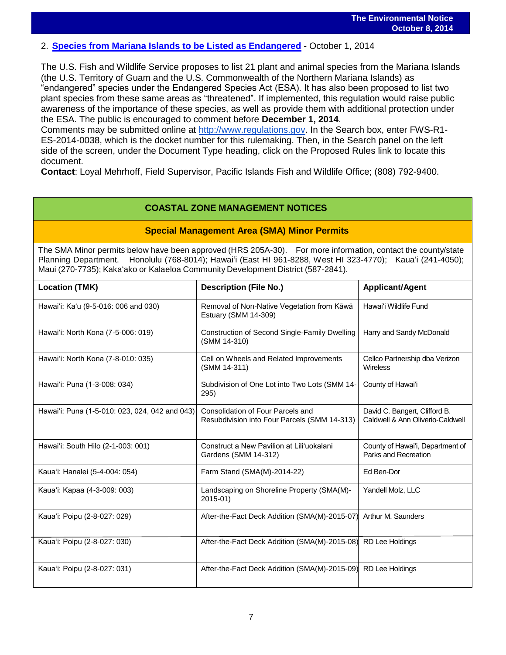## 2. **[Species from Mariana Islands to be Listed as Endangered](http://www.gpo.gov/fdsys/pkg/FR-2014-10-01/pdf/2014-22776.pdf)** - October 1, 2014

The U.S. Fish and Wildlife Service proposes to list 21 plant and animal species from the Mariana Islands (the U.S. Territory of Guam and the U.S. Commonwealth of the Northern Mariana Islands) as "endangered" species under the Endangered Species Act (ESA). It has also been proposed to list two plant species from these same areas as "threatened". If implemented, this regulation would raise public awareness of the importance of these species, as well as provide them with additional protection under the ESA. The public is encouraged to comment before **December 1, 2014**.

Comments may be submitted online at [http://www.regulations.gov.](http://www.regulations.gov/) In the Search box, enter FWS-R1- ES-2014-0038, which is the docket number for this rulemaking. Then, in the Search panel on the left side of the screen, under the Document Type heading, click on the Proposed Rules link to locate this document.

**Contact**: Loyal Mehrhoff, Field Supervisor, Pacific Islands Fish and Wildlife Office; (808) 792-9400.

## **COASTAL ZONE MANAGEMENT NOTICES**

## **Special Management Area (SMA) Minor Permits**

The SMA Minor permits below have been approved (HRS 205A-30). For more information, contact the county/state Planning Department. Honolulu (768-8014); Hawaiʻi (East HI 961-8288, West HI 323-4770); Kauaʻi (241-4050); Maui (270-7735); Kakaʻako or Kalaeloa Community Development District (587-2841).

| <b>Location (TMK)</b>                          | <b>Description (File No.)</b>                                                     | <b>Applicant/Agent</b>                                            |
|------------------------------------------------|-----------------------------------------------------------------------------------|-------------------------------------------------------------------|
| Hawai'i: Ka'u (9-5-016: 006 and 030)           | Removal of Non-Native Vegetation from Kāwā<br>Estuary (SMM 14-309)                | Hawai'i Wildlife Fund                                             |
| Hawai'i: North Kona (7-5-006: 019)             | Construction of Second Single-Family Dwelling<br>(SMM 14-310)                     | Harry and Sandy McDonald                                          |
| Hawai'i: North Kona (7-8-010: 035)             | Cell on Wheels and Related Improvements<br>(SMM 14-311)                           | Cellco Partnership dba Verizon<br>Wireless                        |
| Hawai'i: Puna (1-3-008: 034)                   | Subdivision of One Lot into Two Lots (SMM 14-<br>295)                             | County of Hawai'i                                                 |
| Hawai'i: Puna (1-5-010: 023, 024, 042 and 043) | Consolidation of Four Parcels and<br>Resubdivision into Four Parcels (SMM 14-313) | David C. Bangert, Clifford B.<br>Caldwell & Ann Oliverio-Caldwell |
| Hawai'i: South Hilo (2-1-003: 001)             | Construct a New Pavilion at Lili'uokalani<br>Gardens (SMM 14-312)                 | County of Hawai'i, Department of<br>Parks and Recreation          |
| Kaua'i: Hanalei (5-4-004: 054)                 | Farm Stand (SMA(M)-2014-22)                                                       | Ed Ben-Dor                                                        |
| Kaua'i: Kapaa (4-3-009: 003)                   | Landscaping on Shoreline Property (SMA(M)-<br>2015-01)                            | Yandell Molz, LLC                                                 |
| Kaua'i: Poipu (2-8-027: 029)                   | After-the-Fact Deck Addition (SMA(M)-2015-07)                                     | Arthur M. Saunders                                                |
| Kaua'i: Poipu (2-8-027: 030)                   | After-the-Fact Deck Addition (SMA(M)-2015-08)                                     | <b>RD Lee Holdings</b>                                            |
| Kaua'i: Poipu (2-8-027: 031)                   | After-the-Fact Deck Addition (SMA(M)-2015-09) RD Lee Holdings                     |                                                                   |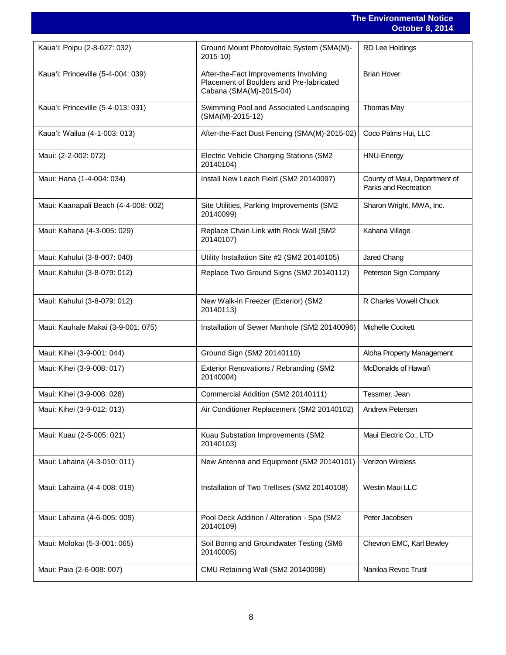|                                      |                                                                                                              | <b>The Environmental Notice</b><br><b>October 8, 2014</b> |
|--------------------------------------|--------------------------------------------------------------------------------------------------------------|-----------------------------------------------------------|
| Kaua'i: Poipu (2-8-027: 032)         | Ground Mount Photovoltaic System (SMA(M)-<br>2015-10)                                                        | <b>RD Lee Holdings</b>                                    |
| Kaua'i: Princeville (5-4-004: 039)   | After-the-Fact Improvements Involving<br>Placement of Boulders and Pre-fabricated<br>Cabana (SMA(M)-2015-04) | <b>Brian Hover</b>                                        |
| Kaua'i: Princeville (5-4-013: 031)   | Swimming Pool and Associated Landscaping<br>$(SMA(M)-2015-12)$                                               | Thomas May                                                |
| Kaua'i: Wailua (4-1-003: 013)        | After-the-Fact Dust Fencing (SMA(M)-2015-02)                                                                 | Coco Palms Hui, LLC                                       |
| Maui: (2-2-002: 072)                 | Electric Vehicle Charging Stations (SM2<br>20140104)                                                         | <b>HNU-Energy</b>                                         |
| Maui: Hana (1-4-004: 034)            | Install New Leach Field (SM2 20140097)                                                                       | County of Maui, Department of<br>Parks and Recreation     |
| Maui: Kaanapali Beach (4-4-008: 002) | Site Utilities, Parking Improvements (SM2<br>20140099)                                                       | Sharon Wright, MWA, Inc.                                  |
| Maui: Kahana (4-3-005: 029)          | Replace Chain Link with Rock Wall (SM2<br>20140107)                                                          | Kahana Village                                            |
| Maui: Kahului (3-8-007: 040)         | Utility Installation Site #2 (SM2 20140105)                                                                  | Jared Chang                                               |
| Maui: Kahului (3-8-079: 012)         | Replace Two Ground Signs (SM2 20140112)                                                                      | Peterson Sign Company                                     |
| Maui: Kahului (3-8-079: 012)         | New Walk-in Freezer (Exterior) (SM2<br>20140113)                                                             | R Charles Vowell Chuck                                    |
| Maui: Kauhale Makai (3-9-001: 075)   | Installation of Sewer Manhole (SM2 20140096)                                                                 | Michelle Cockett                                          |
| Maui: Kihei (3-9-001: 044)           | Ground Sign (SM2 20140110)                                                                                   | Aloha Property Management                                 |
| Maui: Kihei (3-9-008: 017)           | Exterior Renovations / Rebranding (SM2<br>20140004)                                                          | McDonalds of Hawai'i                                      |
| Maui: Kihei (3-9-008: 028)           | Commercial Addition (SM2 20140111)                                                                           | Tessmer, Jean                                             |
| Maui: Kihei (3-9-012: 013)           | Air Conditioner Replacement (SM2 20140102)                                                                   | Andrew Petersen                                           |
| Maui: Kuau (2-5-005: 021)            | Kuau Substation Improvements (SM2<br>20140103)                                                               | Maui Electric Co., LTD                                    |
| Maui: Lahaina (4-3-010: 011)         | New Antenna and Equipment (SM2 20140101)                                                                     | Verizon Wireless                                          |
| Maui: Lahaina (4-4-008: 019)         | Installation of Two Trellises (SM2 20140108)                                                                 | Westin Maui LLC                                           |
| Maui: Lahaina (4-6-005: 009)         | Pool Deck Addition / Alteration - Spa (SM2<br>20140109)                                                      | Peter Jacobsen                                            |
| Maui: Molokai (5-3-001: 065)         | Soil Boring and Groundwater Testing (SM6<br>20140005)                                                        | Chevron EMC, Karl Bewley                                  |
| Maui: Paia (2-6-008: 007)            | CMU Retaining Wall (SM2 20140098)                                                                            | Naniloa Revoc Trust                                       |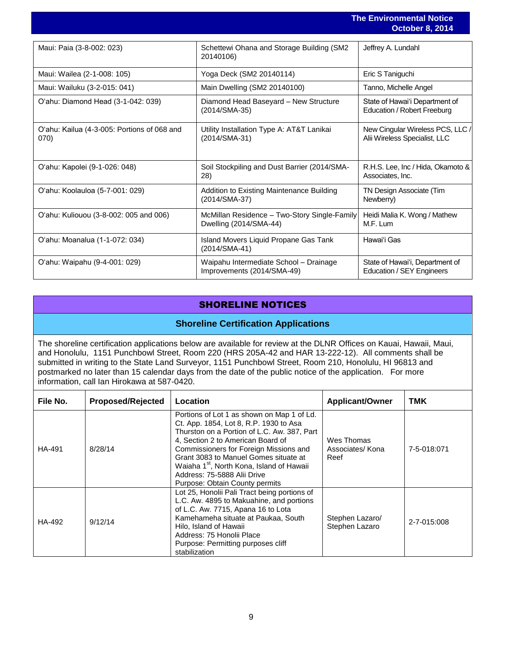|                                                     |                                                                        | <b>The Environmental Notice</b><br><b>October 8, 2014</b>         |
|-----------------------------------------------------|------------------------------------------------------------------------|-------------------------------------------------------------------|
| Maui: Paia (3-8-002: 023)                           | Schettewi Ohana and Storage Building (SM2<br>20140106)                 | Jeffrey A. Lundahl                                                |
| Maui: Wailea (2-1-008: 105)                         | Yoga Deck (SM2 20140114)                                               | Eric S Taniguchi                                                  |
| Maui: Wailuku (3-2-015: 041)                        | Main Dwelling (SM2 20140100)                                           | Tanno, Michelle Angel                                             |
| O'ahu: Diamond Head (3-1-042: 039)                  | Diamond Head Baseyard - New Structure<br>(2014/SMA-35)                 | State of Hawai'i Department of<br>Education / Robert Freeburg     |
| O'ahu: Kailua (4-3-005: Portions of 068 and<br>070) | Utility Installation Type A: AT&T Lanikai<br>(2014/SMA-31)             | New Cingular Wireless PCS, LLC /<br>Alii Wireless Specialist, LLC |
| O'ahu: Kapolei (9-1-026: 048)                       | Soil Stockpiling and Dust Barrier (2014/SMA-<br>28)                    | R.H.S. Lee, Inc / Hida, Okamoto &<br>Associates, Inc.             |
| O'ahu: Koolauloa (5-7-001: 029)                     | Addition to Existing Maintenance Building<br>(2014/SMA-37)             | TN Design Associate (Tim<br>Newberry)                             |
| O'ahu: Kuliouou (3-8-002: 005 and 006)              | McMillan Residence - Two-Story Single-Family<br>Dwelling (2014/SMA-44) | Heidi Malia K. Wong / Mathew<br>M.F. Lum                          |
| O'ahu: Moanalua (1-1-072: 034)                      | Island Movers Liquid Propane Gas Tank<br>(2014/SMA-41)                 | Hawai'i Gas                                                       |
| O'ahu: Waipahu (9-4-001: 029)                       | Waipahu Intermediate School - Drainage<br>Improvements (2014/SMA-49)   | State of Hawai'i, Department of<br>Education / SEY Engineers      |

## SHORELINE NOTICES

## **Shoreline Certification Applications**

The shoreline certification applications below are available for review at the DLNR Offices on Kauai, Hawaii, Maui, and Honolulu, 1151 Punchbowl Street, Room 220 (HRS 205A-42 and HAR 13-222-12). All comments shall be submitted in writing to the State Land Surveyor, 1151 Punchbowl Street, Room 210, Honolulu, HI 96813 and postmarked no later than 15 calendar days from the date of the public notice of the application. For more information, call Ian Hirokawa at 587-0420.

| File No. | <b>Proposed/Rejected</b> | Location                                                                                                                                                                                                                                                                                                                                                                              | <b>Applicant/Owner</b>                | <b>TMK</b>  |
|----------|--------------------------|---------------------------------------------------------------------------------------------------------------------------------------------------------------------------------------------------------------------------------------------------------------------------------------------------------------------------------------------------------------------------------------|---------------------------------------|-------------|
| HA-491   | 8/28/14                  | Portions of Lot 1 as shown on Map 1 of Ld.<br>Ct. App. 1854, Lot 8, R.P. 1930 to Asa<br>Thurston on a Portion of L.C. Aw. 387, Part<br>4, Section 2 to American Board of<br>Commissioners for Foreign Missions and<br>Grant 3083 to Manuel Gomes situate at<br>Waiaha 1 <sup>st</sup> , North Kona, Island of Hawaii<br>Address: 75-5888 Alii Drive<br>Purpose: Obtain County permits | Wes Thomas<br>Associates/Kona<br>Reef | 7-5-018:071 |
| HA-492   | 9/12/14                  | Lot 25, Honolii Pali Tract being portions of<br>L.C. Aw. 4895 to Makuahine, and portions<br>of L.C. Aw. 7715, Apana 16 to Lota<br>Kamehameha situate at Paukaa, South<br>Hilo, Island of Hawaii<br>Address: 75 Honolii Place<br>Purpose: Permitting purposes cliff<br>stabilization                                                                                                   | Stephen Lazaro/<br>Stephen Lazaro     | 2-7-015:008 |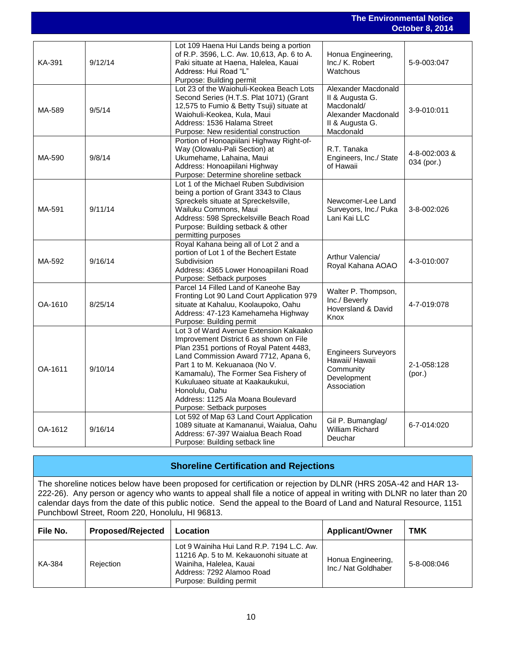|         | <b>The Environmental Notice</b><br><b>October 8, 2014</b> |                                                                                                                                                                                                                                                                                                                                                                         |                                                                                                             |                             |  |  |
|---------|-----------------------------------------------------------|-------------------------------------------------------------------------------------------------------------------------------------------------------------------------------------------------------------------------------------------------------------------------------------------------------------------------------------------------------------------------|-------------------------------------------------------------------------------------------------------------|-----------------------------|--|--|
|         |                                                           |                                                                                                                                                                                                                                                                                                                                                                         |                                                                                                             |                             |  |  |
| KA-391  | 9/12/14                                                   | Lot 109 Haena Hui Lands being a portion<br>of R.P. 3596, L.C. Aw. 10,613, Ap. 6 to A.<br>Paki situate at Haena, Halelea, Kauai<br>Address: Hui Road "L"<br>Purpose: Building permit                                                                                                                                                                                     | Honua Engineering,<br>Inc./ K. Robert<br>Watchous                                                           | 5-9-003:047                 |  |  |
| MA-589  | 9/5/14                                                    | Lot 23 of the Waiohuli-Keokea Beach Lots<br>Second Series (H.T.S. Plat 1071) (Grant<br>12,575 to Fumio & Betty Tsuji) situate at<br>Waiohuli-Keokea, Kula, Maui<br>Address: 1536 Halama Street<br>Purpose: New residential construction                                                                                                                                 | Alexander Macdonald<br>II & Augusta G.<br>Macdonald/<br>Alexander Macdonald<br>II & Augusta G.<br>Macdonald | 3-9-010:011                 |  |  |
| MA-590  | 9/8/14                                                    | Portion of Honoapiilani Highway Right-of-<br>Way (Olowalu-Pali Section) at<br>Ukumehame, Lahaina, Maui<br>Address: Honoapiilani Highway<br>Purpose: Determine shoreline setback                                                                                                                                                                                         | R.T. Tanaka<br>Engineers, Inc./ State<br>of Hawaii                                                          | 4-8-002:003 &<br>034 (por.) |  |  |
| MA-591  | 9/11/14                                                   | Lot 1 of the Michael Ruben Subdivision<br>being a portion of Grant 3343 to Claus<br>Spreckels situate at Spreckelsville,<br>Wailuku Commons, Maui<br>Address: 598 Spreckelsville Beach Road<br>Purpose: Building setback & other<br>permitting purposes                                                                                                                 | Newcomer-Lee Land<br>Surveyors, Inc./ Puka<br>Lani Kai LLC                                                  | 3-8-002:026                 |  |  |
| MA-592  | 9/16/14                                                   | Royal Kahana being all of Lot 2 and a<br>portion of Lot 1 of the Bechert Estate<br>Subdivision<br>Address: 4365 Lower Honoapiilani Road<br>Purpose: Setback purposes                                                                                                                                                                                                    | Arthur Valencia/<br>Royal Kahana AOAO                                                                       | 4-3-010:007                 |  |  |
| OA-1610 | 8/25/14                                                   | Parcel 14 Filled Land of Kaneohe Bay<br>Fronting Lot 90 Land Court Application 979<br>situate at Kahaluu, Koolaupoko, Oahu<br>Address: 47-123 Kamehameha Highway<br>Purpose: Building permit                                                                                                                                                                            | Walter P. Thompson,<br>Inc./ Beverly<br>Hoversland & David<br>Knox                                          | 4-7-019:078                 |  |  |
| OA-1611 | 9/10/14                                                   | Lot 3 of Ward Avenue Extension Kakaako<br>Improvement District 6 as shown on File<br>Plan 2351 portions of Royal Patent 4483,<br>Land Commission Award 7712, Apana 6,<br>Part 1 to M. Kekuanaoa (No V.<br>Kamamalu), The Former Sea Fishery of<br>Kukuluaeo situate at Kaakaukukui.<br>Honolulu, Oahu<br>Address: 1125 Ala Moana Boulevard<br>Purpose: Setback purposes | <b>Engineers Surveyors</b><br>Hawaii/ Hawaii<br>Community<br>Development<br>Association                     | 2-1-058:128<br>(por.)       |  |  |
| OA-1612 | 9/16/14                                                   | Lot 592 of Map 63 Land Court Application<br>1089 situate at Kamananui, Waialua, Oahu<br>Address: 67-397 Waialua Beach Road<br>Purpose: Building setback line                                                                                                                                                                                                            | Gil P. Bumanglag/<br>William Richard<br>Deuchar                                                             | 6-7-014:020                 |  |  |

## **Shoreline Certification and Rejections**

The shoreline notices below have been proposed for certification or rejection by DLNR (HRS 205A-42 and HAR 13- 222-26). Any person or agency who wants to appeal shall file a notice of appeal in writing with DLNR no later than 20 calendar days from the date of this public notice. Send the appeal to the Board of Land and Natural Resource, 1151 Punchbowl Street, Room 220, Honolulu, HI 96813.

| File No. | <b>Proposed/Rejected</b> | Location                                                                                                                                                                 | <b>Applicant/Owner</b>                    | <b>TMK</b>  |
|----------|--------------------------|--------------------------------------------------------------------------------------------------------------------------------------------------------------------------|-------------------------------------------|-------------|
| KA-384   | Rejection                | Lot 9 Wainiha Hui Land R.P. 7194 L.C. Aw.<br>11216 Ap. 5 to M. Kekauonohi situate at<br>Wainiha, Halelea, Kauai<br>Address: 7292 Alamoo Road<br>Purpose: Building permit | Honua Engineering,<br>Inc./ Nat Goldhaber | 5-8-008:046 |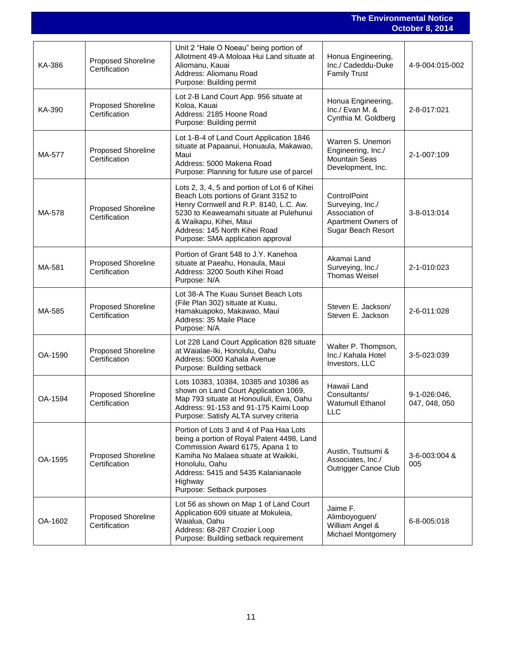|         |                                            |                                                                                                                                                                                                                                                                            | <b>The Environmental Notice</b><br><b>October 8, 2014</b>                                       |                               |  |
|---------|--------------------------------------------|----------------------------------------------------------------------------------------------------------------------------------------------------------------------------------------------------------------------------------------------------------------------------|-------------------------------------------------------------------------------------------------|-------------------------------|--|
| KA-386  | <b>Proposed Shoreline</b><br>Certification | Unit 2 "Hale O Noeau" being portion of<br>Allotment 49-A Moloaa Hui Land situate at<br>Aliomanu, Kauai<br>Address: Aliomanu Road<br>Purpose: Building permit                                                                                                               | Honua Engineering,<br>Inc./ Cadeddu-Duke<br><b>Family Trust</b>                                 | 4-9-004:015-002               |  |
| KA-390  | Proposed Shoreline<br>Certification        | Lot 2-B Land Court App. 956 situate at<br>Koloa, Kauai<br>Address: 2185 Hoone Road<br>Purpose: Building permit                                                                                                                                                             | Honua Engineering,<br>Inc./ Evan M. &<br>Cynthia M. Goldberg                                    | 2-8-017:021                   |  |
| MA-577  | <b>Proposed Shoreline</b><br>Certification | Lot 1-B-4 of Land Court Application 1846<br>situate at Papaanui, Honuaula, Makawao,<br>Maui<br>Address: 5000 Makena Road<br>Purpose: Planning for future use of parcel                                                                                                     | Warren S. Unemori<br>Engineering, Inc./<br><b>Mountain Seas</b><br>Development, Inc.            | 2-1-007:109                   |  |
| MA-578  | <b>Proposed Shoreline</b><br>Certification | Lots 2, 3, 4, 5 and portion of Lot 6 of Kihei<br>Beach Lots portions of Grant 3152 to<br>Henry Cornwell and R.P. 8140, L.C. Aw.<br>5230 to Keaweamahi situate at Pulehunui<br>& Waikapu, Kihei, Maui<br>Address: 145 North Kihei Road<br>Purpose: SMA application approval | ControlPoint<br>Surveying, Inc./<br>Association of<br>Apartment Owners of<br>Sugar Beach Resort | 3-8-013:014                   |  |
| MA-581  | Proposed Shoreline<br>Certification        | Portion of Grant 548 to J.Y. Kanehoa<br>situate at Paeahu, Honaula, Maui<br>Address: 3200 South Kihei Road<br>Purpose: N/A                                                                                                                                                 | Akamai Land<br>Surveying, Inc./<br><b>Thomas Weisel</b>                                         | 2-1-010:023                   |  |
| MA-585  | <b>Proposed Shoreline</b><br>Certification | Lot 38-A The Kuau Sunset Beach Lots<br>(File Plan 302) situate at Kuau,<br>Hamakuapoko, Makawao, Maui<br>Address: 35 Maile Place<br>Purpose: N/A                                                                                                                           | Steven E. Jackson/<br>Steven E. Jackson                                                         | 2-6-011:028                   |  |
| OA-1590 | <b>Proposed Shoreline</b><br>Certification | Lot 228 Land Court Application 828 situate<br>at Waialae-Iki, Honolulu, Oahu<br>Address: 5000 Kahala Avenue<br>Purpose: Building setback                                                                                                                                   | Walter P. Thompson,<br>Inc./ Kahala Hotel<br>Investors, LLC                                     | 3-5-023:039                   |  |
| OA-1594 | <b>Proposed Shoreline</b><br>Certification | Lots 10383, 10384, 10385 and 10386 as<br>shown on Land Court Application 1069,<br>Map 793 situate at Honouliuli, Ewa, Oahu<br>Address: 91-153 and 91-175 Kaimi Loop<br>Purpose: Satisfy ALTA survey criteria                                                               | Hawaii Land<br>Consultants/<br><b>Watumull Ethanol</b><br><b>LLC</b>                            | 9-1-026:046,<br>047, 048, 050 |  |
| OA-1595 | <b>Proposed Shoreline</b><br>Certification | Portion of Lots 3 and 4 of Paa Haa Lots<br>being a portion of Royal Patent 4498, Land<br>Commission Award 6175, Apana 1 to<br>Kamiha No Malaea situate at Waikiki,<br>Honolulu, Oahu<br>Address: 5415 and 5435 Kalanianaole<br>Highway<br>Purpose: Setback purposes        | Austin, Tsutsumi &<br>Associates, Inc./<br>Outrigger Canoe Club                                 | 3-6-003:004 &<br>005          |  |
| OA-1602 | Proposed Shoreline<br>Certification        | Lot 56 as shown on Map 1 of Land Court<br>Application 609 situate at Mokuleia,<br>Waialua, Oahu<br>Address: 68-287 Crozier Loop<br>Purpose: Building setback requirement                                                                                                   | Jaime F.<br>Alimboyoguen/<br>William Angel &<br><b>Michael Montgomery</b>                       | 6-8-005:018                   |  |